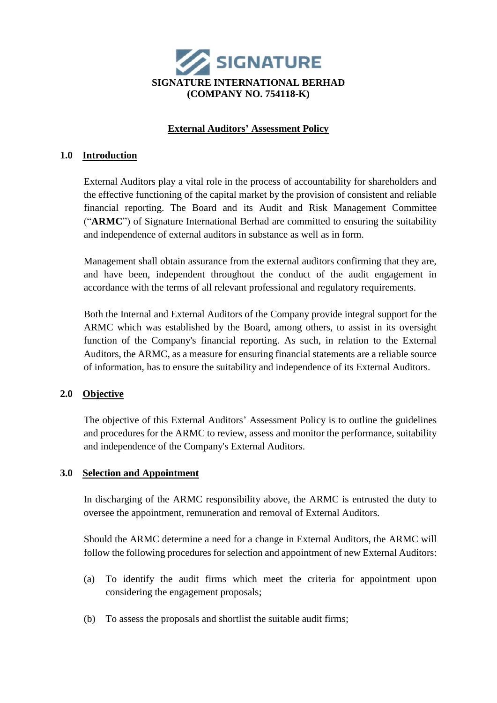

# **External Auditors' Assessment Policy**

### **1.0 Introduction**

External Auditors play a vital role in the process of accountability for shareholders and the effective functioning of the capital market by the provision of consistent and reliable financial reporting. The Board and its Audit and Risk Management Committee ("**ARMC**") of Signature International Berhad are committed to ensuring the suitability and independence of external auditors in substance as well as in form.

Management shall obtain assurance from the external auditors confirming that they are, and have been, independent throughout the conduct of the audit engagement in accordance with the terms of all relevant professional and regulatory requirements.

Both the Internal and External Auditors of the Company provide integral support for the ARMC which was established by the Board, among others, to assist in its oversight function of the Company's financial reporting. As such, in relation to the External Auditors, the ARMC, as a measure for ensuring financial statements are a reliable source of information, has to ensure the suitability and independence of its External Auditors.

## **2.0 Objective**

The objective of this External Auditors' Assessment Policy is to outline the guidelines and procedures for the ARMC to review, assess and monitor the performance, suitability and independence of the Company's External Auditors.

### **3.0 Selection and Appointment**

In discharging of the ARMC responsibility above, the ARMC is entrusted the duty to oversee the appointment, remuneration and removal of External Auditors.

Should the ARMC determine a need for a change in External Auditors, the ARMC will follow the following procedures for selection and appointment of new External Auditors:

- (a) To identify the audit firms which meet the criteria for appointment upon considering the engagement proposals;
- (b) To assess the proposals and shortlist the suitable audit firms;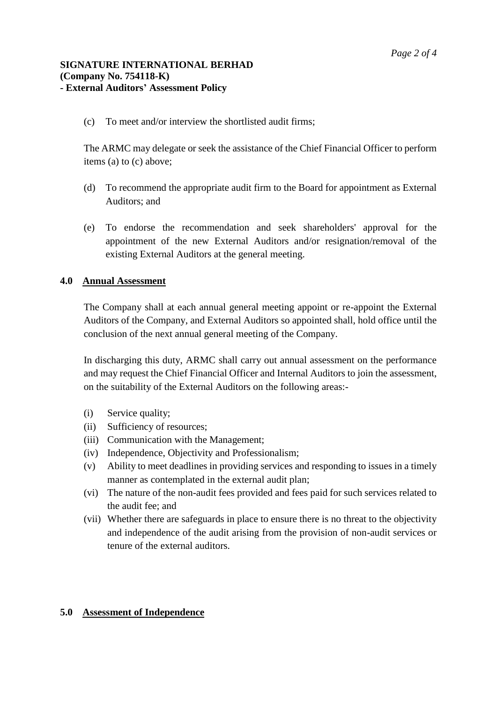### **SIGNATURE INTERNATIONAL BERHAD (Company No. 754118-K) - External Auditors' Assessment Policy**

(c) To meet and/or interview the shortlisted audit firms;

The ARMC may delegate or seek the assistance of the Chief Financial Officer to perform items (a) to (c) above;

- (d) To recommend the appropriate audit firm to the Board for appointment as External Auditors; and
- (e) To endorse the recommendation and seek shareholders' approval for the appointment of the new External Auditors and/or resignation/removal of the existing External Auditors at the general meeting.

## **4.0 Annual Assessment**

The Company shall at each annual general meeting appoint or re-appoint the External Auditors of the Company, and External Auditors so appointed shall, hold office until the conclusion of the next annual general meeting of the Company.

In discharging this duty, ARMC shall carry out annual assessment on the performance and may request the Chief Financial Officer and Internal Auditors to join the assessment, on the suitability of the External Auditors on the following areas:-

- (i) Service quality;
- (ii) Sufficiency of resources;
- (iii) Communication with the Management;
- (iv) Independence, Objectivity and Professionalism;
- (v) Ability to meet deadlines in providing services and responding to issues in a timely manner as contemplated in the external audit plan;
- (vi) The nature of the non-audit fees provided and fees paid for such services related to the audit fee; and
- (vii) Whether there are safeguards in place to ensure there is no threat to the objectivity and independence of the audit arising from the provision of non-audit services or tenure of the external auditors.

### **5.0 Assessment of Independence**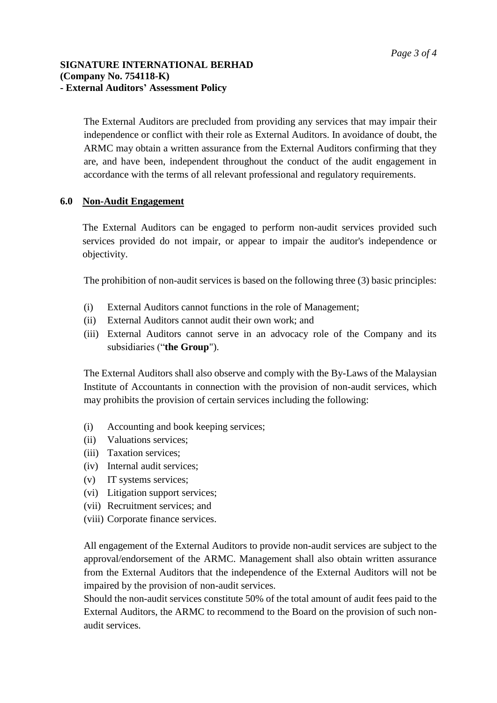## **SIGNATURE INTERNATIONAL BERHAD (Company No. 754118-K) - External Auditors' Assessment Policy**

The External Auditors are precluded from providing any services that may impair their independence or conflict with their role as External Auditors. In avoidance of doubt, the ARMC may obtain a written assurance from the External Auditors confirming that they are, and have been, independent throughout the conduct of the audit engagement in accordance with the terms of all relevant professional and regulatory requirements.

## **6.0 Non-Audit Engagement**

The External Auditors can be engaged to perform non-audit services provided such services provided do not impair, or appear to impair the auditor's independence or objectivity.

The prohibition of non-audit services is based on the following three (3) basic principles:

- (i) External Auditors cannot functions in the role of Management;
- (ii) External Auditors cannot audit their own work; and
- (iii) External Auditors cannot serve in an advocacy role of the Company and its subsidiaries ("**the Group**").

The External Auditors shall also observe and comply with the By-Laws of the Malaysian Institute of Accountants in connection with the provision of non-audit services, which may prohibits the provision of certain services including the following:

- (i) Accounting and book keeping services;
- (ii) Valuations services;
- (iii) Taxation services;
- (iv) Internal audit services;
- (v) IT systems services;
- (vi) Litigation support services;
- (vii) Recruitment services; and
- (viii) Corporate finance services.

All engagement of the External Auditors to provide non-audit services are subject to the approval/endorsement of the ARMC. Management shall also obtain written assurance from the External Auditors that the independence of the External Auditors will not be impaired by the provision of non-audit services.

Should the non-audit services constitute 50% of the total amount of audit fees paid to the External Auditors, the ARMC to recommend to the Board on the provision of such nonaudit services.